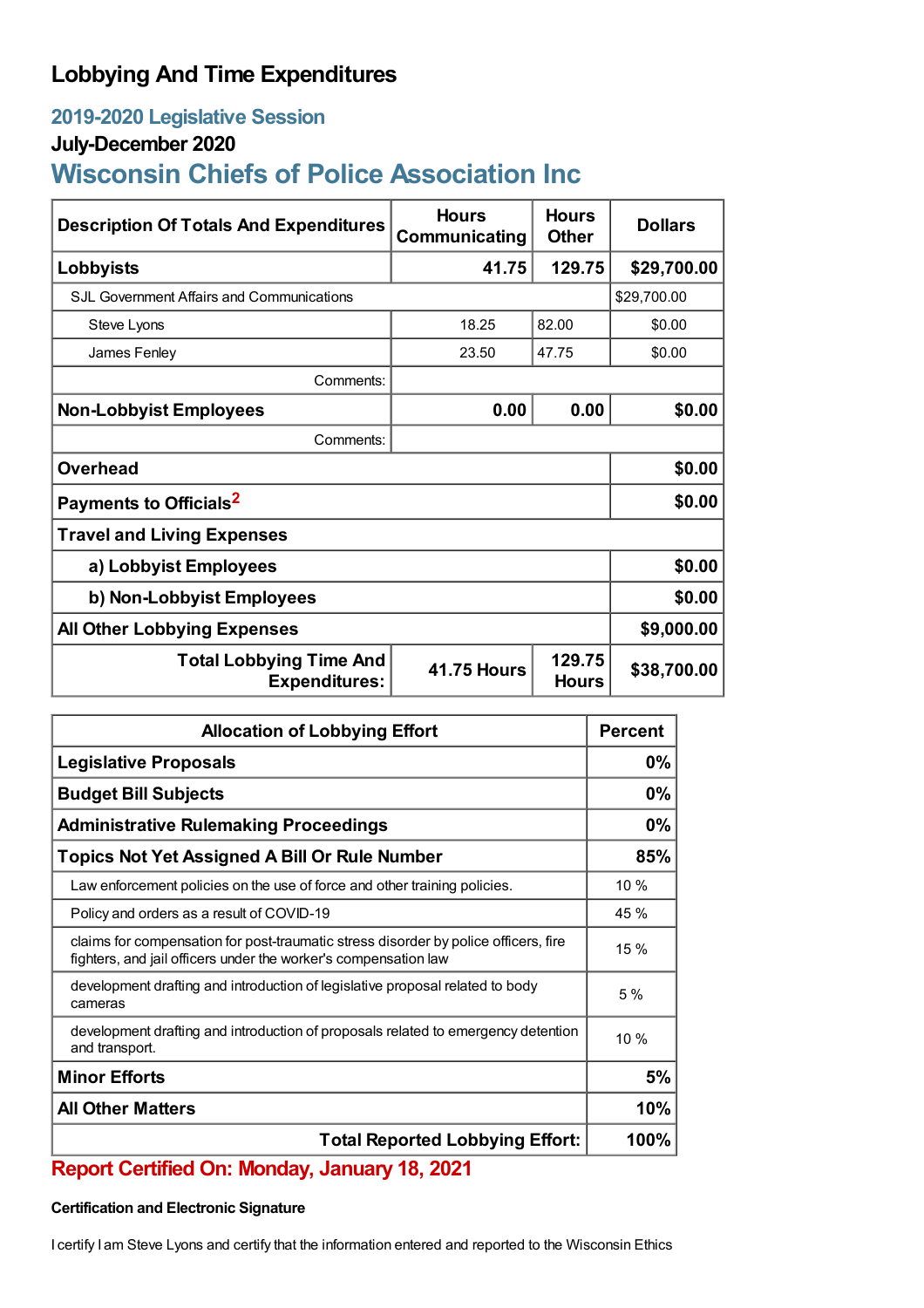## **Lobbying And Time Expenditures**

## **2019-2020 Legislative Session**

### **July-December 2020**

# **Wisconsin Chiefs of Police Association Inc**

| <b>Description Of Totals And Expenditures</b>          | <b>Hours</b><br>Communicating | Hours<br><b>Other</b>  | <b>Dollars</b> |  |
|--------------------------------------------------------|-------------------------------|------------------------|----------------|--|
| Lobbyists                                              | 41.75                         | 129.75                 | \$29,700.00    |  |
| <b>SJL Government Affairs and Communications</b>       |                               |                        | \$29,700.00    |  |
| Steve Lyons                                            | 18.25                         | 82.00                  | \$0.00         |  |
| James Fenley                                           | 23.50                         | 47.75                  | \$0.00         |  |
| Comments:                                              |                               |                        |                |  |
| <b>Non-Lobbyist Employees</b>                          | 0.00                          | 0.00                   | \$0.00         |  |
| Comments:                                              |                               |                        |                |  |
| <b>Overhead</b>                                        |                               |                        | \$0.00         |  |
| Payments to Officials <sup>2</sup>                     |                               |                        | \$0.00         |  |
| <b>Travel and Living Expenses</b>                      |                               |                        |                |  |
| a) Lobbyist Employees                                  |                               |                        | \$0.00         |  |
| b) Non-Lobbyist Employees                              |                               |                        | \$0.00         |  |
| <b>All Other Lobbying Expenses</b>                     |                               |                        | \$9,000.00     |  |
| <b>Total Lobbying Time And</b><br><b>Expenditures:</b> | <b>41.75 Hours</b>            | 129.75<br><b>Hours</b> | \$38,700.00    |  |

| <b>Allocation of Lobbying Effort</b>                                                                                                                   |      |
|--------------------------------------------------------------------------------------------------------------------------------------------------------|------|
| <b>Legislative Proposals</b>                                                                                                                           |      |
| <b>Budget Bill Subjects</b>                                                                                                                            | 0%   |
| <b>Administrative Rulemaking Proceedings</b>                                                                                                           |      |
| <b>Topics Not Yet Assigned A Bill Or Rule Number</b>                                                                                                   | 85%  |
| Law enforcement policies on the use of force and other training policies.                                                                              | 10%  |
| Policy and orders as a result of COVID-19                                                                                                              | 45 % |
| claims for compensation for post-traumatic stress disorder by police officers, fire<br>fighters, and jail officers under the worker's compensation law | 15 % |
| development drafting and introduction of legislative proposal related to body<br>cameras                                                               | 5%   |
| development drafting and introduction of proposals related to emergency detention<br>and transport.                                                    | 10%  |
| <b>Minor Efforts</b>                                                                                                                                   | 5%   |
| <b>All Other Matters</b>                                                                                                                               |      |
| <b>Total Reported Lobbying Effort:</b>                                                                                                                 |      |

## **Report Certified On: Monday, January 18, 2021**

#### **Certification and Electronic Signature**

I certify I am Steve Lyons and certify that the information entered and reported to the Wisconsin Ethics